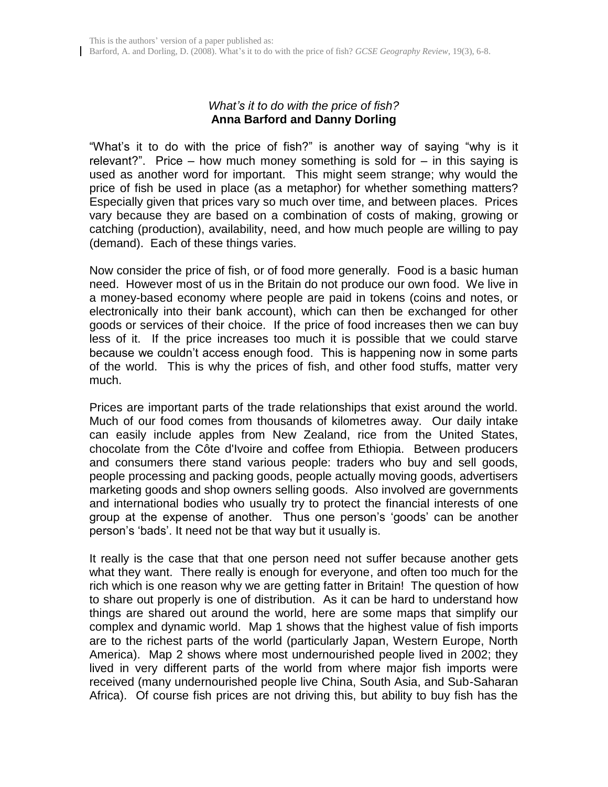## *What's it to do with the price of fish?* **Anna Barford and Danny Dorling**

"What"s it to do with the price of fish?" is another way of saying "why is it relevant?". Price – how much money something is sold for – in this saying is used as another word for important. This might seem strange; why would the price of fish be used in place (as a metaphor) for whether something matters? Especially given that prices vary so much over time, and between places. Prices vary because they are based on a combination of costs of making, growing or catching (production), availability, need, and how much people are willing to pay (demand). Each of these things varies.

Now consider the price of fish, or of food more generally. Food is a basic human need. However most of us in the Britain do not produce our own food. We live in a money-based economy where people are paid in tokens (coins and notes, or electronically into their bank account), which can then be exchanged for other goods or services of their choice. If the price of food increases then we can buy less of it. If the price increases too much it is possible that we could starve because we couldn"t access enough food. This is happening now in some parts of the world. This is why the prices of fish, and other food stuffs, matter very much.

Prices are important parts of the trade relationships that exist around the world. Much of our food comes from thousands of kilometres away. Our daily intake can easily include apples from New Zealand, rice from the United States, chocolate from the Côte d'Ivoire and coffee from Ethiopia. Between producers and consumers there stand various people: traders who buy and sell goods, people processing and packing goods, people actually moving goods, advertisers marketing goods and shop owners selling goods. Also involved are governments and international bodies who usually try to protect the financial interests of one group at the expense of another. Thus one person"s "goods" can be another person"s "bads". It need not be that way but it usually is.

It really is the case that that one person need not suffer because another gets what they want. There really is enough for everyone, and often too much for the rich which is one reason why we are getting fatter in Britain! The question of how to share out properly is one of distribution. As it can be hard to understand how things are shared out around the world, here are some maps that simplify our complex and dynamic world. Map 1 shows that the highest value of fish imports are to the richest parts of the world (particularly Japan, Western Europe, North America). Map 2 shows where most undernourished people lived in 2002; they lived in very different parts of the world from where major fish imports were received (many undernourished people live China, South Asia, and Sub-Saharan Africa). Of course fish prices are not driving this, but ability to buy fish has the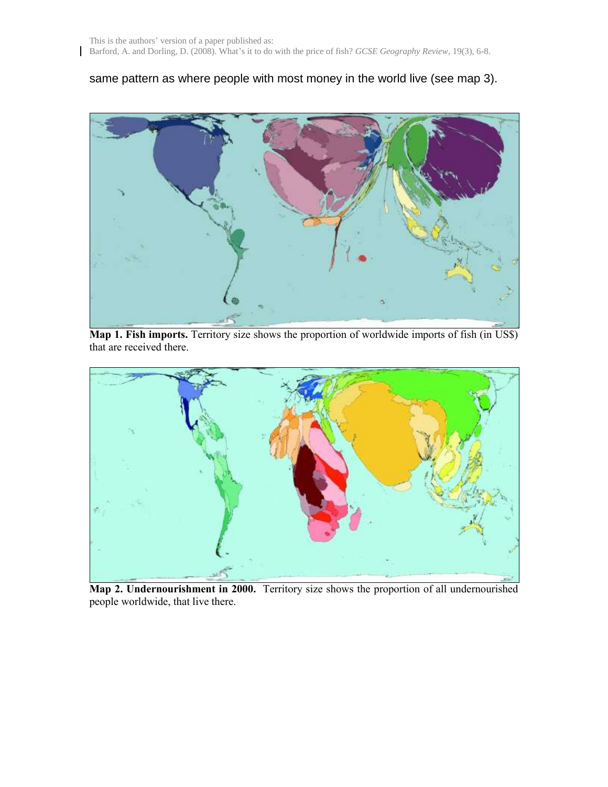$\mathsf{l}$ 

## same pattern as where people with most money in the world live (see map 3).



**Map 1. Fish imports.** Territory size shows the proportion of worldwide imports of fish (in US\$) that are received there.



**Map 2. Undernourishment in 2000.** Territory size shows the proportion of all undernourished people worldwide, that live there.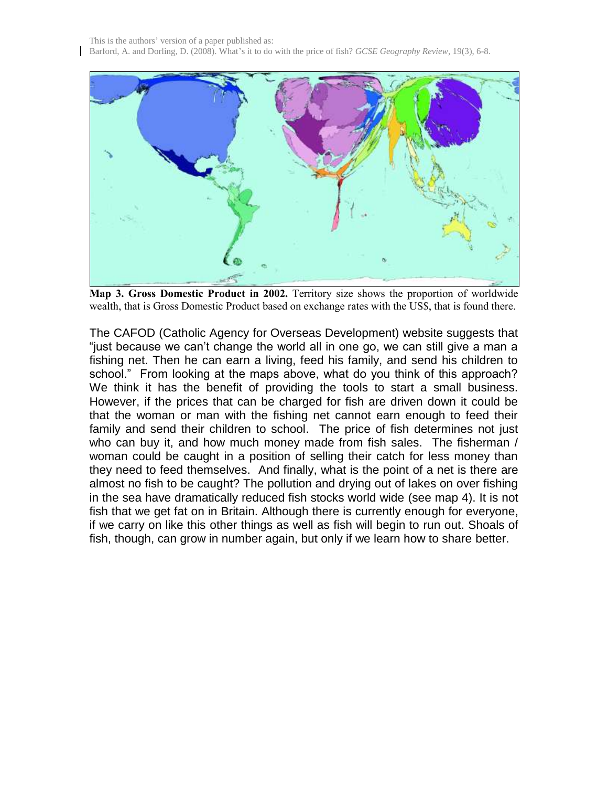

**Map 3. Gross Domestic Product in 2002.** Territory size shows the proportion of worldwide wealth, that is Gross Domestic Product based on exchange rates with the US\$, that is found there.

The CAFOD (Catholic Agency for Overseas Development) website suggests that "just because we can't change the world all in one go, we can still give a man a fishing net. Then he can earn a living, feed his family, and send his children to school." From looking at the maps above, what do you think of this approach? We think it has the benefit of providing the tools to start a small business. However, if the prices that can be charged for fish are driven down it could be that the woman or man with the fishing net cannot earn enough to feed their family and send their children to school. The price of fish determines not just who can buy it, and how much money made from fish sales. The fisherman / woman could be caught in a position of selling their catch for less money than they need to feed themselves. And finally, what is the point of a net is there are almost no fish to be caught? The pollution and drying out of lakes on over fishing in the sea have dramatically reduced fish stocks world wide (see map 4). It is not fish that we get fat on in Britain. Although there is currently enough for everyone, if we carry on like this other things as well as fish will begin to run out. Shoals of fish, though, can grow in number again, but only if we learn how to share better.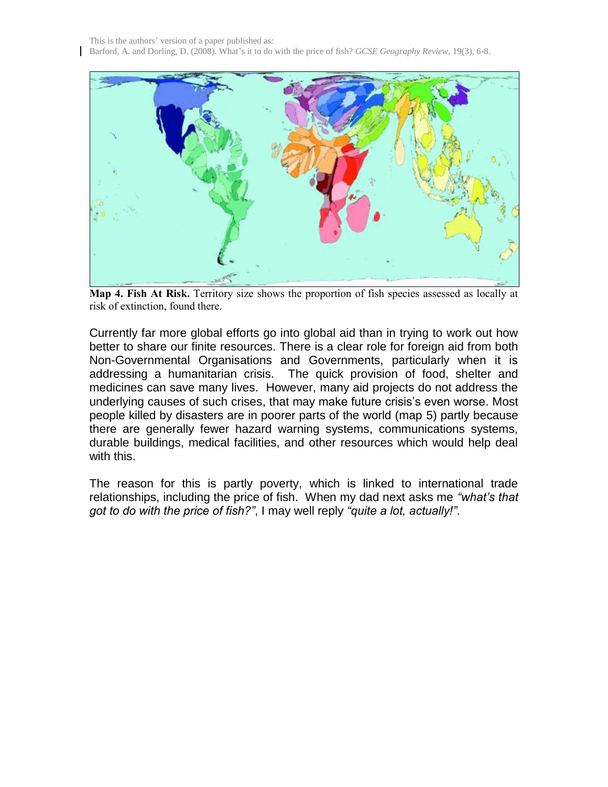This is the authors' version of a paper published as: Barford, A. and Dorling, D. (2008). What's it to do with the price of fish? *GCSE Geography Review*, 19(3), 6-8.



**Map 4. Fish At Risk.** Territory size shows the proportion of fish species assessed as locally at risk of extinction, found there.

Currently far more global efforts go into global aid than in trying to work out how better to share our finite resources. There is a clear role for foreign aid from both Non-Governmental Organisations and Governments, particularly when it is addressing a humanitarian crisis. The quick provision of food, shelter and medicines can save many lives. However, many aid projects do not address the underlying causes of such crises, that may make future crisis's even worse. Most people killed by disasters are in poorer parts of the world (map 5) partly because there are generally fewer hazard warning systems, communications systems, durable buildings, medical facilities, and other resources which would help deal with this.

The reason for this is partly poverty, which is linked to international trade relationships, including the price of fish. When my dad next asks me *"what's that got to do with the price of fish?"*, I may well reply *"quite a lot, actually!"*.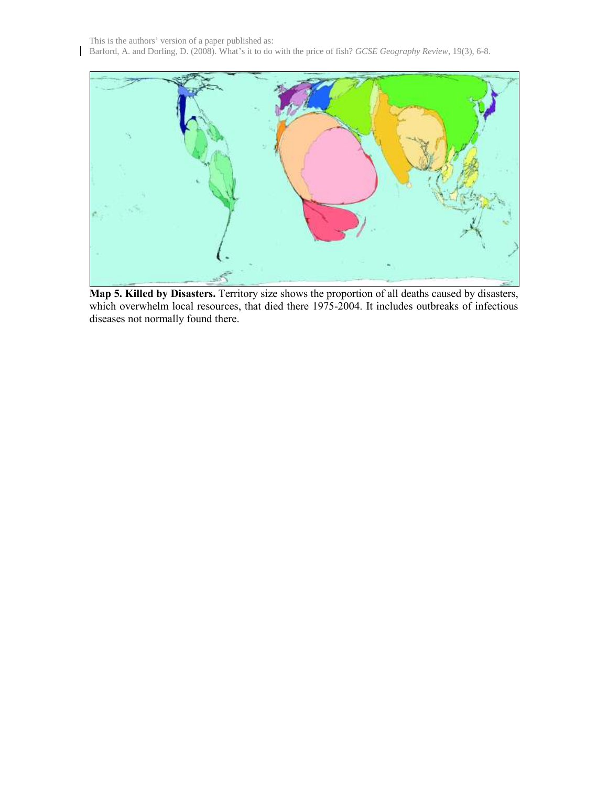This is the authors' version of a paper published as: Barford, A. and Dorling, D. (2008). What's it to do with the price of fish? *GCSE Geography Review*, 19(3), 6-8.

 $\mathbf{I}$ 



**Map 5. Killed by Disasters.** Territory size shows the proportion of all deaths caused by disasters, which overwhelm local resources, that died there 1975-2004. It includes outbreaks of infectious diseases not normally found there.